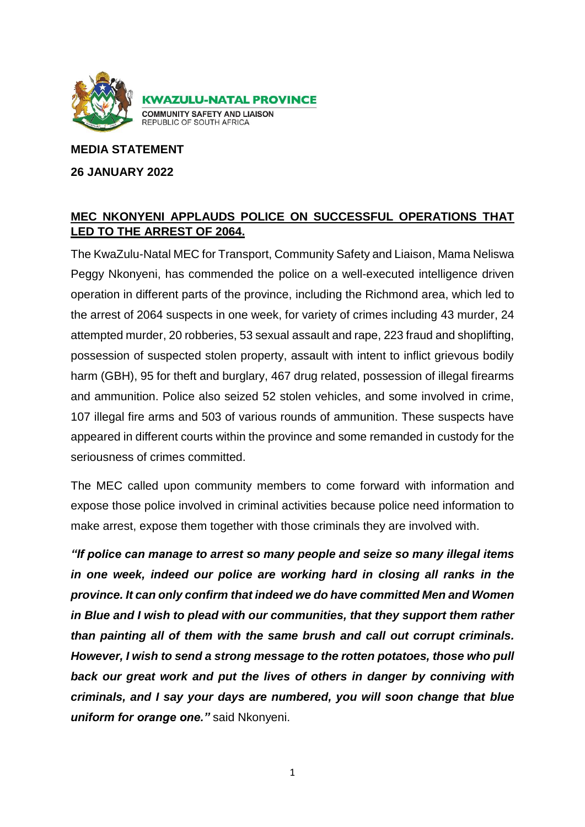

**MEDIA STATEMENT** 

**26 JANUARY 2022**

## **MEC NKONYENI APPLAUDS POLICE ON SUCCESSFUL OPERATIONS THAT LED TO THE ARREST OF 2064.**

The KwaZulu-Natal MEC for Transport, Community Safety and Liaison, Mama Neliswa Peggy Nkonyeni, has commended the police on a well-executed intelligence driven operation in different parts of the province, including the Richmond area, which led to the arrest of 2064 suspects in one week, for variety of crimes including 43 murder, 24 attempted murder, 20 robberies, 53 sexual assault and rape, 223 fraud and shoplifting, possession of suspected stolen property, assault with intent to inflict grievous bodily harm (GBH), 95 for theft and burglary, 467 drug related, possession of illegal firearms and ammunition. Police also seized 52 stolen vehicles, and some involved in crime, 107 illegal fire arms and 503 of various rounds of ammunition. These suspects have appeared in different courts within the province and some remanded in custody for the seriousness of crimes committed.

The MEC called upon community members to come forward with information and expose those police involved in criminal activities because police need information to make arrest, expose them together with those criminals they are involved with.

*"If police can manage to arrest so many people and seize so many illegal items in one week, indeed our police are working hard in closing all ranks in the province. It can only confirm that indeed we do have committed Men and Women in Blue and I wish to plead with our communities, that they support them rather than painting all of them with the same brush and call out corrupt criminals. However, I wish to send a strong message to the rotten potatoes, those who pull back our great work and put the lives of others in danger by conniving with criminals, and I say your days are numbered, you will soon change that blue uniform for orange one."* said Nkonyeni.